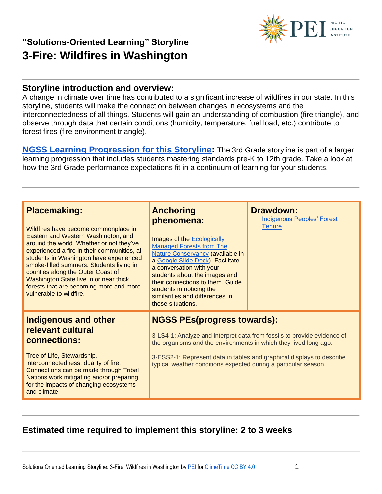

#### **Storyline introduction and overview:**

A change in climate over time has contributed to a significant increase of wildfires in our state. In this storyline, students will make the connection between changes in ecosystems and the interconnectedness of all things. Students will gain an understanding of combustion (fire triangle), and observe through data that certain conditions (humidity, temperature, fuel load, etc.) contribute to forest fires (fire environment triangle).

**[NGSS Learning Progression for this Storyline:](https://pacificeductioninstitute.sharepoint.com/:x:/s/Program/EWV7knBQkgtOsiWnuNOPC-IBdShSwrtE43e4hUTSKn_K2g?e=kFktvI)** The 3rd Grade storyline is part of a larger learning progression that includes students mastering standards pre-K to 12th grade. Take a look at how the 3rd Grade performance expectations fit in a continuum of learning for your students.

| <b>Placemaking:</b><br>Wildfires have become commonplace in<br>Eastern and Western Washington, and                                                                                                                                                                                                                                   | <b>Anchoring</b><br>phenomena:<br>Images of the Ecologically                                                                                                                                                                                                                                 | <b>Drawdown:</b><br><b>Indigenous Peoples' Forest</b><br><b>Tenure</b>                                                                           |
|--------------------------------------------------------------------------------------------------------------------------------------------------------------------------------------------------------------------------------------------------------------------------------------------------------------------------------------|----------------------------------------------------------------------------------------------------------------------------------------------------------------------------------------------------------------------------------------------------------------------------------------------|--------------------------------------------------------------------------------------------------------------------------------------------------|
| around the world. Whether or not they've<br>experienced a fire in their communities, all<br>students in Washington have experienced<br>smoke-filled summers. Students living in<br>counties along the Outer Coast of<br>Washington State live in or near thick<br>forests that are becoming more and more<br>vulnerable to wildfire. | <b>Managed Forests from The</b><br>Nature Conservancy (available in<br>a Google Slide Deck). Facilitate<br>a conversation with your<br>students about the images and<br>their connections to them. Guide<br>students in noticing the<br>similarities and differences in<br>these situations. |                                                                                                                                                  |
| <b>Indigenous and other</b><br>relevant cultural<br>connections:<br>Tree of Life, Stewardship,<br>interconnectedness, duality of fire,<br>Connections can be made through Tribal<br>Nations work mitigating and/or preparing<br>for the impacts of changing ecosystems<br>and climate.                                               | <b>NGSS PEs(progress towards):</b><br>the organisms and the environments in which they lived long ago.<br>typical weather conditions expected during a particular season.                                                                                                                    | 3-LS4-1: Analyze and interpret data from fossils to provide evidence of<br>3-ESS2-1: Represent data in tables and graphical displays to describe |

#### **Estimated time required to implement this storyline: 2 to 3 weeks**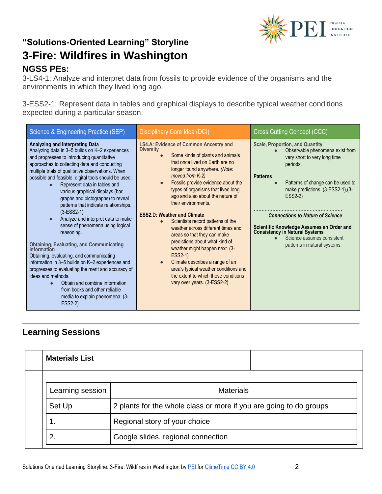

3-LS4-1: Analyze and interpret data from fossils to provide evidence of the organisms and the environments in which they lived long ago.

3-ESS2-1: Represent data in tables and graphical displays to describe typical weather conditions expected during a particular season.

| Science & Engineering Practice (SEP)                                                                                                                                                                                                                                                                                                                                                                                                                                                                                                                                                                                                                                                                                                                                                                                                                                                                                                          | <b>Disciplinary Core Idea (DCI)</b>                                                                                                                                                                                                                                                                                                                                                                                                                                                                                                                                                                                                                                                                                                                                       | <b>Cross Cutting Concept (CCC)</b>                                                                                                                                                                                                                                                                                                                                                                                    |
|-----------------------------------------------------------------------------------------------------------------------------------------------------------------------------------------------------------------------------------------------------------------------------------------------------------------------------------------------------------------------------------------------------------------------------------------------------------------------------------------------------------------------------------------------------------------------------------------------------------------------------------------------------------------------------------------------------------------------------------------------------------------------------------------------------------------------------------------------------------------------------------------------------------------------------------------------|---------------------------------------------------------------------------------------------------------------------------------------------------------------------------------------------------------------------------------------------------------------------------------------------------------------------------------------------------------------------------------------------------------------------------------------------------------------------------------------------------------------------------------------------------------------------------------------------------------------------------------------------------------------------------------------------------------------------------------------------------------------------------|-----------------------------------------------------------------------------------------------------------------------------------------------------------------------------------------------------------------------------------------------------------------------------------------------------------------------------------------------------------------------------------------------------------------------|
| <b>Analyzing and Interpreting Data</b><br>Analyzing data in 3-5 builds on K-2 experiences<br>and progresses to introducing quantitative<br>approaches to collecting data and conducting<br>multiple trials of qualitative observations. When<br>possible and feasible, digital tools should be used.<br>Represent data in tables and<br>various graphical displays (bar<br>graphs and pictographs) to reveal<br>patterns that indicate relationships.<br>$(3-ESS2-1)$<br>Analyze and interpret data to make<br>$\bullet$<br>sense of phenomena using logical<br>reasoning.<br><b>Obtaining, Evaluating, and Communicating Information</b><br>Obtaining, evaluating, and communicating<br>information in 3-5 builds on K-2 experiences and<br>progresses to evaluating the merit and accuracy of<br>ideas and methods.<br>Obtain and combine information<br>from books and other reliable<br>media to explain phenomena. (3-<br><b>ESS2-2)</b> | <b>LS4.A: Evidence of Common Ancestry and</b><br><b>Diversity</b><br>Some kinds of plants and animals<br>$\bullet$<br>that once lived on Earth are no<br>longer found anywhere. (Note:<br>moved from K-2)<br>Fossils provide evidence about the<br>$\bullet$<br>types of organisms that lived long<br>ago and also about the nature of<br>their environments.<br><b>ESS2.D: Weather and Climate</b><br>Scientists record patterns of the<br>$\bullet$<br>weather across different times and<br>areas so that they can make<br>predictions about what kind of<br>weather might happen next. (3-<br>ESS2-1)<br>Climate describes a range of an<br>$\bullet$<br>area's typical weather conditions and<br>the extent to which those conditions<br>vary over years. (3-ESS2-2) | <b>Scale, Proportion, and Quantity</b><br>Observable phenomena exist from<br>very short to very long time<br>periods.<br><b>Patterns</b><br>Patterns of change can be used to<br>make predictions. (3-ESS2-1), (3-<br>ESS2-2)<br><b>Connections to Nature of Science</b><br>Scientific Knowledge Assumes an Order and<br>Consistency in Natural Systems<br>Science assumes consistent<br>patterns in natural systems. |

#### **Learning Sessions**

| <b>Materials List</b> |                                                                    |
|-----------------------|--------------------------------------------------------------------|
| Learning session      | <b>Materials</b>                                                   |
| Set Up                | 2 plants for the whole class or more if you are going to do groups |
| 1.                    | Regional story of your choice                                      |
| 2.                    | Google slides, regional connection                                 |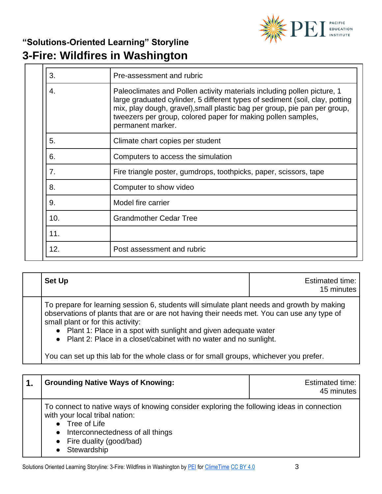

| 3.  | Pre-assessment and rubric                                                                                                                                                                                                                                                                                                 |
|-----|---------------------------------------------------------------------------------------------------------------------------------------------------------------------------------------------------------------------------------------------------------------------------------------------------------------------------|
| 4.  | Paleoclimates and Pollen activity materials including pollen picture, 1<br>large graduated cylinder, 5 different types of sediment (soil, clay, potting<br>mix, play dough, gravel), small plastic bag per group, pie pan per group,<br>tweezers per group, colored paper for making pollen samples,<br>permanent marker. |
| 5.  | Climate chart copies per student                                                                                                                                                                                                                                                                                          |
| 6.  | Computers to access the simulation                                                                                                                                                                                                                                                                                        |
| 7.  | Fire triangle poster, gumdrops, toothpicks, paper, scissors, tape                                                                                                                                                                                                                                                         |
| 8.  | Computer to show video                                                                                                                                                                                                                                                                                                    |
| 9.  | Model fire carrier                                                                                                                                                                                                                                                                                                        |
| 10. | <b>Grandmother Cedar Tree</b>                                                                                                                                                                                                                                                                                             |
| 11. |                                                                                                                                                                                                                                                                                                                           |
| 12. | Post assessment and rubric                                                                                                                                                                                                                                                                                                |

| <b>Set Up</b> | Estimated time:<br>15 minutes |
|---------------|-------------------------------|
|---------------|-------------------------------|

To prepare for learning session 6, students will simulate plant needs and growth by making observations of plants that are or are not having their needs met. You can use any type of small plant or for this activity:

● Plant 1: Place in a spot with sunlight and given adequate water

● Plant 2: Place in a closet/cabinet with no water and no sunlight.

You can set up this lab for the whole class or for small groups, whichever you prefer.

| <b>Grounding Native Ways of Knowing:</b>                                                                                                                                                                                  | Estimated time:<br>45 minutes |
|---------------------------------------------------------------------------------------------------------------------------------------------------------------------------------------------------------------------------|-------------------------------|
| To connect to native ways of knowing consider exploring the following ideas in connection<br>with your local tribal nation:<br>Tree of Life<br>Interconnectedness of all things<br>Fire duality (good/bad)<br>Stewardship |                               |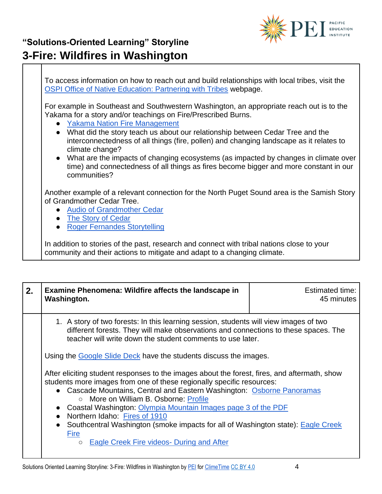

To access information on how to reach out and build relationships with local tribes, visit the [OSPI Office of Native Education: Partnering with Tribes](https://www.k12.wa.us/student-success/resources-subject-area/time-immemorial-tribal-sovereignty-washington-state/partnering-tribes) webpage.

For example in Southeast and Southwestern Washington, an appropriate reach out is to the Yakama for a story and/or teachings on Fire/Prescribed Burns.

- Yakama Nation Fire Management
- What did the story teach us about our relationship between Cedar Tree and the interconnectedness of all things (fire, pollen) and changing landscape as it relates to climate change?
- What are the impacts of changing ecosystems (as impacted by changes in climate over time) and connectedness of all things as fires become bigger and more constant in our communities?

Another example of a relevant connection for the North Puget Sound area is the Samish Story of Grandmother Cedar Tree.

- [Audio of Grandmother](http://omir-the-storyteller.blogspot.com/2005/07/grandmother-cedar.html) [Cedar](http://www.wisdomoftheelders.org/prog8/mp3/Turtle%20Island.mp3)
- [The Story of Cedar](https://youtu.be/WIcT9Jx0T7g)
- [Roger Fernandes Storytelling](https://www.wastatelaser.org/environmental-sustainability-enhanced-lessons/)

In addition to stories of the past, research and connect with tribal nations close to your community and their actions to mitigate and adapt to a changing climate.

| 2. | Examine Phenomena: Wildfire affects the landscape in<br>Washington.                                                                                                                                                                                                                                                                                                                                                                                                                      | Estimated time:<br>45 minutes |
|----|------------------------------------------------------------------------------------------------------------------------------------------------------------------------------------------------------------------------------------------------------------------------------------------------------------------------------------------------------------------------------------------------------------------------------------------------------------------------------------------|-------------------------------|
|    | 1. A story of two forests: In this learning session, students will view images of two<br>different forests. They will make observations and connections to these spaces. The<br>teacher will write down the student comments to use later.                                                                                                                                                                                                                                               |                               |
|    | Using the Google Slide Deck have the students discuss the images.                                                                                                                                                                                                                                                                                                                                                                                                                        |                               |
|    | After eliciting student responses to the images about the forest, fires, and aftermath, show<br>students more images from one of these regionally specific resources:<br>• Cascade Mountains, Central and Eastern Washington: Osborne Panoramas<br>○ More on William B. Osborne: Profile<br>Coastal Washington: Olympia Mountain Images page 3 of the PDF<br>• Northern Idaho: Fires of 1910<br>Southcentral Washington (smoke impacts for all of Washington state): Eagle Creek<br>Fire |                               |
|    | Eagle Creek Fire videos- During and After<br>$\bigcirc$                                                                                                                                                                                                                                                                                                                                                                                                                                  |                               |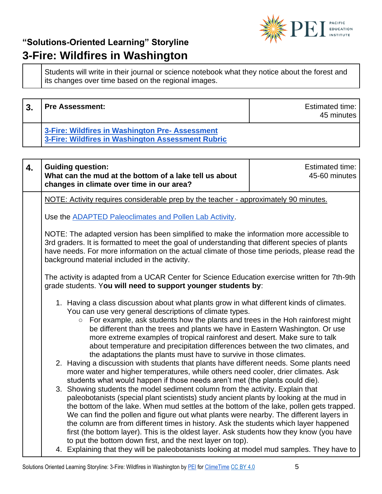

Students will write in their journal or science notebook what they notice about the forest and its changes over time based on the regional images.

| າ | <b>Pre Assessment:</b>                                                                               | Estimated time:<br>45 minutes |
|---|------------------------------------------------------------------------------------------------------|-------------------------------|
|   | 3-Fire: Wildfires in Washington Pre- Assessment<br>3-Fire: Wildfires in Washington Assessment Rubric |                               |

| $\overline{4}$ . | <b>Guiding question:</b><br>What can the mud at the bottom of a lake tell us about<br>changes in climate over time in our area?                                                                                                                                                                                                                                                                                                                                                                                                                                                                                                                                                                                                                                                                                                                                                                                                                                                                                                                                                                                                                                                                                                                                                                                                                                                                                                                                                                                                                        | Estimated time:<br>45-60 minutes |
|------------------|--------------------------------------------------------------------------------------------------------------------------------------------------------------------------------------------------------------------------------------------------------------------------------------------------------------------------------------------------------------------------------------------------------------------------------------------------------------------------------------------------------------------------------------------------------------------------------------------------------------------------------------------------------------------------------------------------------------------------------------------------------------------------------------------------------------------------------------------------------------------------------------------------------------------------------------------------------------------------------------------------------------------------------------------------------------------------------------------------------------------------------------------------------------------------------------------------------------------------------------------------------------------------------------------------------------------------------------------------------------------------------------------------------------------------------------------------------------------------------------------------------------------------------------------------------|----------------------------------|
|                  | NOTE: Activity requires considerable prep by the teacher - approximately 90 minutes.                                                                                                                                                                                                                                                                                                                                                                                                                                                                                                                                                                                                                                                                                                                                                                                                                                                                                                                                                                                                                                                                                                                                                                                                                                                                                                                                                                                                                                                                   |                                  |
|                  | Use the ADAPTED Paleoclimates and Pollen Lab Activity.                                                                                                                                                                                                                                                                                                                                                                                                                                                                                                                                                                                                                                                                                                                                                                                                                                                                                                                                                                                                                                                                                                                                                                                                                                                                                                                                                                                                                                                                                                 |                                  |
|                  | NOTE: The adapted version has been simplified to make the information more accessible to<br>3rd graders. It is formatted to meet the goal of understanding that different species of plants<br>have needs. For more information on the actual climate of those time periods, please read the<br>background material included in the activity.                                                                                                                                                                                                                                                                                                                                                                                                                                                                                                                                                                                                                                                                                                                                                                                                                                                                                                                                                                                                                                                                                                                                                                                                          |                                  |
|                  | The activity is adapted from a UCAR Center for Science Education exercise written for 7th-9th<br>grade students. You will need to support younger students by:                                                                                                                                                                                                                                                                                                                                                                                                                                                                                                                                                                                                                                                                                                                                                                                                                                                                                                                                                                                                                                                                                                                                                                                                                                                                                                                                                                                         |                                  |
|                  | 1. Having a class discussion about what plants grow in what different kinds of climates.<br>You can use very general descriptions of climate types.<br>For example, ask students how the plants and trees in the Hoh rainforest might<br>$\circ$<br>be different than the trees and plants we have in Eastern Washington. Or use<br>more extreme examples of tropical rainforest and desert. Make sure to talk<br>about temperature and precipitation differences between the two climates, and<br>the adaptations the plants must have to survive in those climates.<br>2. Having a discussion with students that plants have different needs. Some plants need<br>more water and higher temperatures, while others need cooler, drier climates. Ask<br>students what would happen if those needs aren't met (the plants could die).<br>3. Showing students the model sediment column from the activity. Explain that<br>paleobotanists (special plant scientists) study ancient plants by looking at the mud in<br>the bottom of the lake. When mud settles at the bottom of the lake, pollen gets trapped.<br>We can find the pollen and figure out what plants were nearby. The different layers in<br>the column are from different times in history. Ask the students which layer happened<br>first (the bottom layer). This is the oldest layer. Ask students how they know (you have<br>to put the bottom down first, and the next layer on top).<br>4. Explaining that they will be paleobotanists looking at model mud samples. They have to |                                  |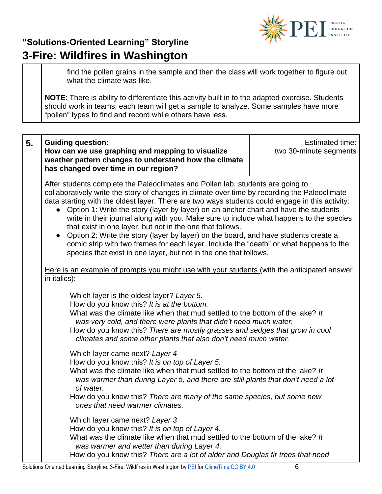

find the pollen grains in the sample and then the class will work together to figure out what the climate was like.

**NOTE**: There is ability to differentiate this activity built in to the adapted exercise. Students should work in teams; each team will get a sample to analyze. Some samples have more "pollen" types to find and record while others have less.

| 5. | <b>Guiding question:</b><br>How can we use graphing and mapping to visualize<br>weather pattern changes to understand how the climate<br>has changed over time in our region?                                                                                                                                                                                                                                                                                                                                                                                                                                                                                                                                                                                                            | Estimated time:<br>two 30-minute segments |
|----|------------------------------------------------------------------------------------------------------------------------------------------------------------------------------------------------------------------------------------------------------------------------------------------------------------------------------------------------------------------------------------------------------------------------------------------------------------------------------------------------------------------------------------------------------------------------------------------------------------------------------------------------------------------------------------------------------------------------------------------------------------------------------------------|-------------------------------------------|
|    | After students complete the Paleoclimates and Pollen lab, students are going to<br>collaboratively write the story of changes in climate over time by recording the Paleoclimate<br>data starting with the oldest layer. There are two ways students could engage in this activity:<br>Option 1: Write the story (layer by layer) on an anchor chart and have the students<br>write in their journal along with you. Make sure to include what happens to the species<br>that exist in one layer, but not in the one that follows.<br>Option 2: Write the story (layer by layer) on the board, and have students create a<br>comic strip with two frames for each layer. Include the "death" or what happens to the<br>species that exist in one layer, but not in the one that follows. |                                           |
|    | Here is an example of prompts you might use with your students (with the anticipated answer<br>in italics):                                                                                                                                                                                                                                                                                                                                                                                                                                                                                                                                                                                                                                                                              |                                           |
|    | Which layer is the oldest layer? Layer 5.<br>How do you know this? It is at the bottom.<br>What was the climate like when that mud settled to the bottom of the lake? It<br>was very cold, and there were plants that didn't need much water.<br>How do you know this? There are mostly grasses and sedges that grow in cool<br>climates and some other plants that also don't need much water.                                                                                                                                                                                                                                                                                                                                                                                          |                                           |
|    | Which layer came next? Layer 4<br>How do you know this? It is on top of Layer 5.<br>What was the climate like when that mud settled to the bottom of the lake? It<br>was warmer than during Layer 5, and there are still plants that don't need a lot<br>of water.<br>How do you know this? There are many of the same species, but some new<br>ones that need warmer climates.                                                                                                                                                                                                                                                                                                                                                                                                          |                                           |
|    | Which layer came next? Layer 3<br>How do you know this? It is on top of Layer 4.<br>What was the climate like when that mud settled to the bottom of the lake? It<br>was warmer and wetter than during Layer 4.<br>How do you know this? There are a lot of alder and Douglas fir trees that need                                                                                                                                                                                                                                                                                                                                                                                                                                                                                        |                                           |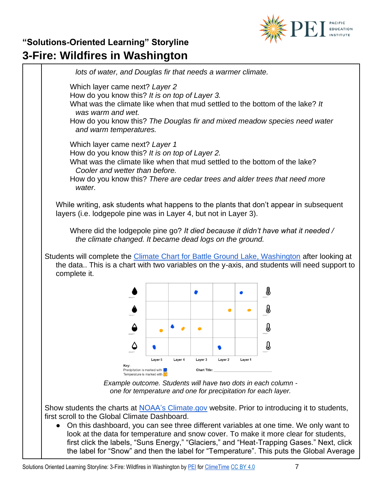

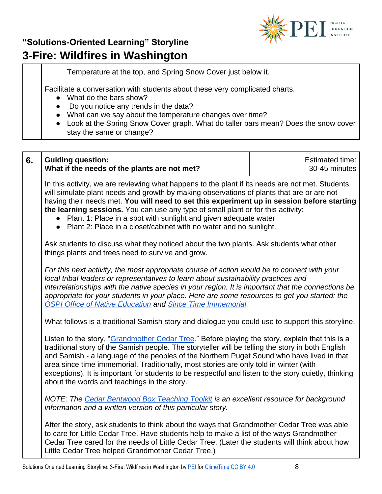

Temperature at the top, and Spring Snow Cover just below it.

Facilitate a conversation with students about these very complicated charts.

- What do the bars show?
- Do you notice any trends in the data?
- What can we say about the temperature changes over time?
- Look at the Spring Snow Cover graph. What do taller bars mean? Does the snow cover stay the same or change?

| 6. | <b>Guiding question:</b><br>What if the needs of the plants are not met?                                                                                                                                                                                                                                                                                                                                                                                                                                                                          | Estimated time:<br>30-45 minutes |
|----|---------------------------------------------------------------------------------------------------------------------------------------------------------------------------------------------------------------------------------------------------------------------------------------------------------------------------------------------------------------------------------------------------------------------------------------------------------------------------------------------------------------------------------------------------|----------------------------------|
|    | In this activity, we are reviewing what happens to the plant if its needs are not met. Students<br>will simulate plant needs and growth by making observations of plants that are or are not<br>having their needs met. You will need to set this experiment up in session before starting<br>the learning sessions. You can use any type of small plant or for this activity:<br>Plant 1: Place in a spot with sunlight and given adequate water<br>Plant 2: Place in a closet/cabinet with no water and no sunlight.<br>$\bullet$               |                                  |
|    | Ask students to discuss what they noticed about the two plants. Ask students what other<br>things plants and trees need to survive and grow.                                                                                                                                                                                                                                                                                                                                                                                                      |                                  |
|    | For this next activity, the most appropriate course of action would be to connect with your<br>local tribal leaders or representatives to learn about sustainability practices and<br>interrelationships with the native species in your region. It is important that the connections be<br>appropriate for your students in your place. Here are some resources to get you started: the<br><b>OSPI Office of Native Education and Since Time Immemorial.</b>                                                                                     |                                  |
|    | What follows is a traditional Samish story and dialogue you could use to support this storyline.                                                                                                                                                                                                                                                                                                                                                                                                                                                  |                                  |
|    | Listen to the story, "Grandmother Cedar Tree." Before playing the story, explain that this is a<br>traditional story of the Samish people. The storyteller will be telling the story in both English<br>and Samish - a language of the peoples of the Northern Puget Sound who have lived in that<br>area since time immemorial. Traditionally, most stories are only told in winter (with<br>exceptions). It is important for students to be respectful and listen to the story quietly, thinking<br>about the words and teachings in the story. |                                  |
|    | NOTE: The Cedar Bentwood Box Teaching Toolkit is an excellent resource for background<br>information and a written version of this particular story.                                                                                                                                                                                                                                                                                                                                                                                              |                                  |
|    | After the story, ask students to think about the ways that Grandmother Cedar Tree was able<br>to care for Little Cedar Tree. Have students help to make a list of the ways Grandmother<br>Cedar Tree cared for the needs of Little Cedar Tree. (Later the students will think about how<br>Little Cedar Tree helped Grandmother Cedar Tree.)                                                                                                                                                                                                      |                                  |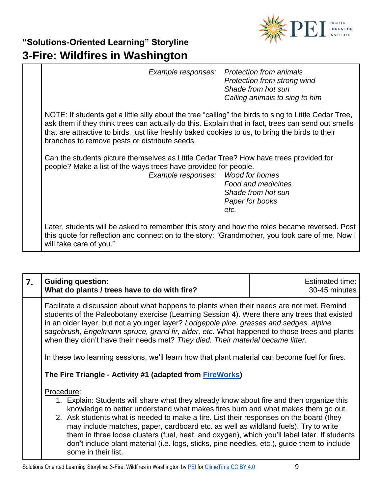

| Example responses: Protection from animals<br>Protection from strong wind<br>Shade from hot sun<br>Calling animals to sing to him                                                                                                                                                                                                                                |
|------------------------------------------------------------------------------------------------------------------------------------------------------------------------------------------------------------------------------------------------------------------------------------------------------------------------------------------------------------------|
| NOTE: If students get a little silly about the tree "calling" the birds to sing to Little Cedar Tree,<br>ask them if they think trees can actually do this. Explain that in fact, trees can send out smells<br>that are attractive to birds, just like freshly baked cookies to us, to bring the birds to their<br>branches to remove pests or distribute seeds. |
| Can the students picture themselves as Little Cedar Tree? How have trees provided for<br>people? Make a list of the ways trees have provided for people.<br>Example responses: Wood for homes<br><b>Food and medicines</b><br>Shade from hot sun<br>Paper for books<br>etc.                                                                                      |
| Later, students will be asked to remember this story and how the roles became reversed. Post<br>this quote for reflection and connection to the story: "Grandmother, you took care of me. Now I<br>will take care of you."                                                                                                                                       |

| $\mathbf{7}$ . | <b>Guiding question:</b><br>What do plants / trees have to do with fire?                                                                                                                                                                                                                                                                                                                                                                                                                                                                                                                          | <b>Estimated time:</b><br>30-45 minutes |  |
|----------------|---------------------------------------------------------------------------------------------------------------------------------------------------------------------------------------------------------------------------------------------------------------------------------------------------------------------------------------------------------------------------------------------------------------------------------------------------------------------------------------------------------------------------------------------------------------------------------------------------|-----------------------------------------|--|
|                | Facilitate a discussion about what happens to plants when their needs are not met. Remind<br>students of the Paleobotany exercise (Learning Session 4). Were there any trees that existed<br>in an older layer, but not a younger layer? Lodgepole pine, grasses and sedges, alpine<br>sagebrush, Engelmann spruce, grand fir, alder, etc. What happened to those trees and plants<br>when they didn't have their needs met? They died. Their material became litter.<br>In these two learning sessions, we'll learn how that plant material can become fuel for fires.                           |                                         |  |
|                | The Fire Triangle - Activity #1 (adapted from FireWorks)                                                                                                                                                                                                                                                                                                                                                                                                                                                                                                                                          |                                         |  |
|                | Procedure:<br>1. Explain: Students will share what they already know about fire and then organize this<br>knowledge to better understand what makes fires burn and what makes them go out.<br>2. Ask students what is needed to make a fire. List their responses on the board (they<br>may include matches, paper, cardboard etc. as well as wildland fuels). Try to write<br>them in three loose clusters (fuel, heat, and oxygen), which you'll label later. If students<br>don't include plant material (i.e. logs, sticks, pine needles, etc.), guide them to include<br>some in their list. |                                         |  |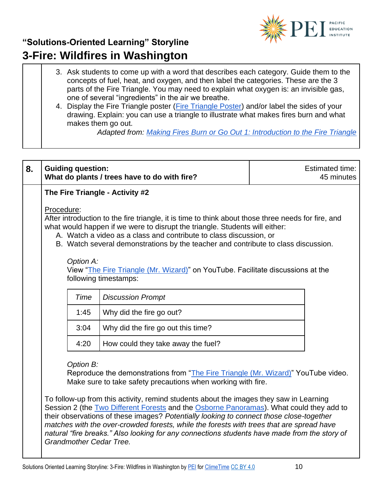

- 3. Ask students to come up with a word that describes each category. Guide them to the concepts of fuel, heat, and oxygen, and then label the categories. These are the 3 parts of the Fire Triangle. You may need to explain what oxygen is: an invisible gas, one of several "ingredients" in the air we breathe.
- 4. Display the Fire Triangle poster [\(Fire Triangle Poster\)](https://www.frames.gov/documents/fireworks/curriculum/NRockies-NCascades/ElementarySchool/E02/FireTrianglePoster.pdf) and/or label the sides of your drawing. Explain: you can use a triangle to illustrate what makes fires burn and what makes them go out.

*Adapted from: [Making Fires Burn or Go Out 1: Introduction to the Fire Triangle](https://www.frames.gov/documents/fireworks/curriculum/NRockies-NCascades/ElementarySchool/E02/E02_FireTriangle.pdf)*

| 8. | <b>Guiding question:</b>                                                                                                                                                                                                                                                                                                                                    | What do plants / trees have to do with fire?                                                                                                                                                                                                                                                                                                                                                                                                                                                                                                                                                                                  | Estimated time:<br>45 minutes |  |
|----|-------------------------------------------------------------------------------------------------------------------------------------------------------------------------------------------------------------------------------------------------------------------------------------------------------------------------------------------------------------|-------------------------------------------------------------------------------------------------------------------------------------------------------------------------------------------------------------------------------------------------------------------------------------------------------------------------------------------------------------------------------------------------------------------------------------------------------------------------------------------------------------------------------------------------------------------------------------------------------------------------------|-------------------------------|--|
|    |                                                                                                                                                                                                                                                                                                                                                             | The Fire Triangle - Activity #2                                                                                                                                                                                                                                                                                                                                                                                                                                                                                                                                                                                               |                               |  |
|    | Procedure:<br>After introduction to the fire triangle, it is time to think about those three needs for fire, and<br>what would happen if we were to disrupt the triangle. Students will either:<br>A. Watch a video as a class and contribute to class discussion, or<br>B. Watch several demonstrations by the teacher and contribute to class discussion. |                                                                                                                                                                                                                                                                                                                                                                                                                                                                                                                                                                                                                               |                               |  |
|    | Option A:                                                                                                                                                                                                                                                                                                                                                   | View "The Fire Triangle (Mr. Wizard)" on YouTube. Facilitate discussions at the<br>following timestamps:                                                                                                                                                                                                                                                                                                                                                                                                                                                                                                                      |                               |  |
|    | Time                                                                                                                                                                                                                                                                                                                                                        | <b>Discussion Prompt</b>                                                                                                                                                                                                                                                                                                                                                                                                                                                                                                                                                                                                      |                               |  |
|    | 1:45                                                                                                                                                                                                                                                                                                                                                        | Why did the fire go out?                                                                                                                                                                                                                                                                                                                                                                                                                                                                                                                                                                                                      |                               |  |
|    | 3:04                                                                                                                                                                                                                                                                                                                                                        | Why did the fire go out this time?                                                                                                                                                                                                                                                                                                                                                                                                                                                                                                                                                                                            |                               |  |
|    | 4:20                                                                                                                                                                                                                                                                                                                                                        | How could they take away the fuel?                                                                                                                                                                                                                                                                                                                                                                                                                                                                                                                                                                                            |                               |  |
|    | Option B:<br>Grandmother Cedar Tree.                                                                                                                                                                                                                                                                                                                        | Reproduce the demonstrations from "The Fire Triangle (Mr. Wizard)" YouTube video.<br>Make sure to take safety precautions when working with fire.<br>To follow-up from this activity, remind students about the images they saw in Learning<br>Session 2 (the Two Different Forests and the Osborne Panoramas). What could they add to<br>their observations of these images? Potentially looking to connect those close-together<br>matches with the over-crowded forests, while the forests with trees that are spread have<br>natural "fire breaks." Also looking for any connections students have made from the story of |                               |  |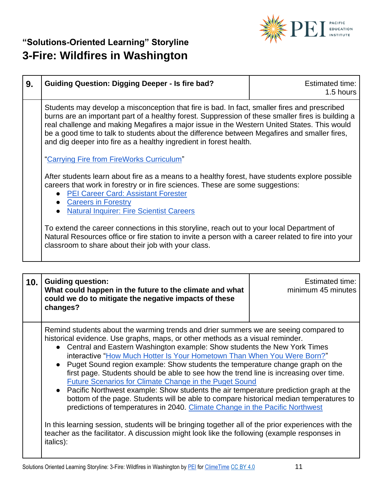

| 9. | <b>Guiding Question: Digging Deeper - Is fire bad?</b>                                                                                                                                                                                                                                                                                                                                                                                                                                                             | <b>Estimated time:</b><br>1.5 hours |
|----|--------------------------------------------------------------------------------------------------------------------------------------------------------------------------------------------------------------------------------------------------------------------------------------------------------------------------------------------------------------------------------------------------------------------------------------------------------------------------------------------------------------------|-------------------------------------|
|    | Students may develop a misconception that fire is bad. In fact, smaller fires and prescribed<br>burns are an important part of a healthy forest. Suppression of these smaller fires is building a<br>real challenge and making Megafires a major issue in the Western United States. This would<br>be a good time to talk to students about the difference between Megafires and smaller fires,<br>and dig deeper into fire as a healthy ingredient in forest health.<br>"Carrying Fire from FireWorks Curriculum" |                                     |
|    |                                                                                                                                                                                                                                                                                                                                                                                                                                                                                                                    |                                     |
|    | After students learn about fire as a means to a healthy forest, have students explore possible<br>careers that work in forestry or in fire sciences. These are some suggestions:<br><b>PEI Career Card: Assistant Forester</b><br><b>Careers in Forestry</b><br><b>Natural Inquirer: Fire Scientist Careers</b>                                                                                                                                                                                                    |                                     |
|    | To extend the career connections in this storyline, reach out to your local Department of<br>Natural Resources office or fire station to invite a person with a career related to fire into your<br>classroom to share about their job with your class.                                                                                                                                                                                                                                                            |                                     |

| 10. | <b>Guiding question:</b><br>What could happen in the future to the climate and what<br>could we do to mitigate the negative impacts of these<br>changes?                                                                                                                                                                                                                                                                                                                                                                                                                                                                                                                                                                                                                                                                                                                                                                                                                                                                                                   | Estimated time:<br>minimum 45 minutes |
|-----|------------------------------------------------------------------------------------------------------------------------------------------------------------------------------------------------------------------------------------------------------------------------------------------------------------------------------------------------------------------------------------------------------------------------------------------------------------------------------------------------------------------------------------------------------------------------------------------------------------------------------------------------------------------------------------------------------------------------------------------------------------------------------------------------------------------------------------------------------------------------------------------------------------------------------------------------------------------------------------------------------------------------------------------------------------|---------------------------------------|
|     | Remind students about the warming trends and drier summers we are seeing compared to<br>historical evidence. Use graphs, maps, or other methods as a visual reminder.<br>• Central and Eastern Washington example: Show students the New York Times<br>interactive "How Much Hotter Is Your Hometown Than When You Were Born?"<br>Puget Sound region example: Show students the temperature change graph on the<br>first page. Students should be able to see how the trend line is increasing over time.<br>Future Scenarios for Climate Change in the Puget Sound<br>• Pacific Northwest example: Show students the air temperature prediction graph at the<br>bottom of the page. Students will be able to compare historical median temperatures to<br>predictions of temperatures in 2040. Climate Change in the Pacific Northwest<br>In this learning session, students will be bringing together all of the prior experiences with the<br>teacher as the facilitator. A discussion might look like the following (example responses in<br>italics): |                                       |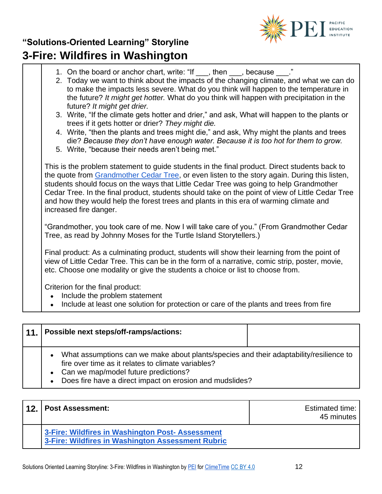

1. On the board or anchor chart, write: "If \_\_\_, then \_\_\_, because \_\_\_." 2. Today we want to think about the impacts of the changing climate, and what we can do to make the impacts less severe. What do you think will happen to the temperature in the future? *It might get hotter.* What do you think will happen with precipitation in the future? *It might get drier.* 3. Write, "If the climate gets hotter and drier," and ask, What will happen to the plants or trees if it gets hotter or drier? *They might die.* 4. Write, "then the plants and trees might die," and ask, Why might the plants and trees die? *Because they don't have enough water. Because it is too hot for them to grow.* 5. Write, "because their needs aren't being met." This is the problem statement to guide students in the final product. Direct students back to the quote from [Grandmother Cedar Tree,](http://www.wisdomoftheelders.org/program-108-turtle-island-storytellers/) or even listen to the story again. During this listen, students should focus on the ways that Little Cedar Tree was going to help Grandmother Cedar Tree. In the final product, students should take on the point of view of Little Cedar Tree and how they would help the forest trees and plants in this era of warming climate and increased fire danger. "Grandmother, you took care of me. Now I will take care of you." (From Grandmother Cedar Tree, as read by Johnny Moses for the Turtle Island Storytellers.) Final product: As a culminating product, students will show their learning from the point of view of Little Cedar Tree. This can be in the form of a narrative, comic strip, poster, movie, etc. Choose one modality or give the students a choice or list to choose from. Criterion for the final product: • Include the problem statement Include at least one solution for protection or care of the plants and trees from fire

| 11. | Possible next steps/off-ramps/actions:                                                                                                                                                                                                                                       |  |
|-----|------------------------------------------------------------------------------------------------------------------------------------------------------------------------------------------------------------------------------------------------------------------------------|--|
|     | What assumptions can we make about plants/species and their adaptability/resilience to<br>$\bullet$<br>fire over time as it relates to climate variables?<br>• Can we map/model future predictions?<br>Does fire have a direct impact on erosion and mudslides?<br>$\bullet$ |  |

| 12. | <b>Post Assessment:</b>                                                                               | Estimated time:<br>45 minutes |
|-----|-------------------------------------------------------------------------------------------------------|-------------------------------|
|     | 3-Fire: Wildfires in Washington Post- Assessment<br>3-Fire: Wildfires in Washington Assessment Rubric |                               |